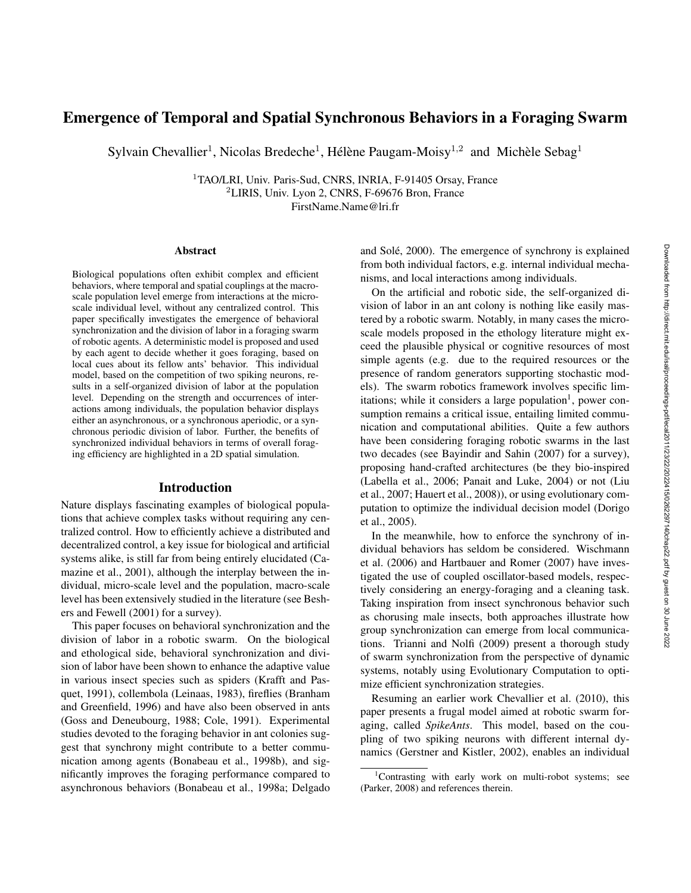# Emergence of Temporal and Spatial Synchronous Behaviors in a Foraging Swarm

Sylvain Chevallier<sup>1</sup>, Nicolas Bredeche<sup>1</sup>, Hélène Paugam-Moisy<sup>1,2</sup> and Michèle Sebag<sup>1</sup>

<sup>1</sup>TAO/LRI, Univ. Paris-Sud, CNRS, INRIA, F-91405 Orsay, France <sup>2</sup>LIRIS, Univ. Lyon 2, CNRS, F-69676 Bron, France FirstName.Name@lri.fr

#### Abstract

Biological populations often exhibit complex and efficient behaviors, where temporal and spatial couplings at the macroscale population level emerge from interactions at the microscale individual level, without any centralized control. This paper specifically investigates the emergence of behavioral synchronization and the division of labor in a foraging swarm of robotic agents. A deterministic model is proposed and used by each agent to decide whether it goes foraging, based on local cues about its fellow ants' behavior. This individual model, based on the competition of two spiking neurons, results in a self-organized division of labor at the population level. Depending on the strength and occurrences of interactions among individuals, the population behavior displays either an asynchronous, or a synchronous aperiodic, or a synchronous periodic division of labor. Further, the benefits of synchronized individual behaviors in terms of overall foraging efficiency are highlighted in a 2D spatial simulation.

#### Introduction

Nature displays fascinating examples of biological populations that achieve complex tasks without requiring any centralized control. How to efficiently achieve a distributed and decentralized control, a key issue for biological and artificial systems alike, is still far from being entirely elucidated (Camazine et al., 2001), although the interplay between the individual, micro-scale level and the population, macro-scale level has been extensively studied in the literature (see Beshers and Fewell (2001) for a survey).

This paper focuses on behavioral synchronization and the division of labor in a robotic swarm. On the biological and ethological side, behavioral synchronization and division of labor have been shown to enhance the adaptive value in various insect species such as spiders (Krafft and Pasquet, 1991), collembola (Leinaas, 1983), fireflies (Branham and Greenfield, 1996) and have also been observed in ants (Goss and Deneubourg, 1988; Cole, 1991). Experimental studies devoted to the foraging behavior in ant colonies suggest that synchrony might contribute to a better communication among agents (Bonabeau et al., 1998b), and significantly improves the foraging performance compared to asynchronous behaviors (Bonabeau et al., 1998a; Delgado and Solé, 2000). The emergence of synchrony is explained from both individual factors, e.g. internal individual mechanisms, and local interactions among individuals.

On the artificial and robotic side, the self-organized division of labor in an ant colony is nothing like easily mastered by a robotic swarm. Notably, in many cases the microscale models proposed in the ethology literature might exceed the plausible physical or cognitive resources of most simple agents (e.g. due to the required resources or the presence of random generators supporting stochastic models). The swarm robotics framework involves specific limitations; while it considers a large population<sup>1</sup>, power consumption remains a critical issue, entailing limited communication and computational abilities. Quite a few authors have been considering foraging robotic swarms in the last two decades (see Bayindir and Sahin (2007) for a survey), proposing hand-crafted architectures (be they bio-inspired (Labella et al., 2006; Panait and Luke, 2004) or not (Liu et al., 2007; Hauert et al., 2008)), or using evolutionary computation to optimize the individual decision model (Dorigo et al., 2005).

In the meanwhile, how to enforce the synchrony of individual behaviors has seldom be considered. Wischmann et al. (2006) and Hartbauer and Romer (2007) have investigated the use of coupled oscillator-based models, respectively considering an energy-foraging and a cleaning task. Taking inspiration from insect synchronous behavior such as chorusing male insects, both approaches illustrate how group synchronization can emerge from local communications. Trianni and Nolfi (2009) present a thorough study of swarm synchronization from the perspective of dynamic systems, notably using Evolutionary Computation to optimize efficient synchronization strategies.

Resuming an earlier work Chevallier et al. (2010), this paper presents a frugal model aimed at robotic swarm foraging, called *SpikeAnts*. This model, based on the coupling of two spiking neurons with different internal dynamics (Gerstner and Kistler, 2002), enables an individual

<sup>1</sup>Contrasting with early work on multi-robot systems; see (Parker, 2008) and references therein.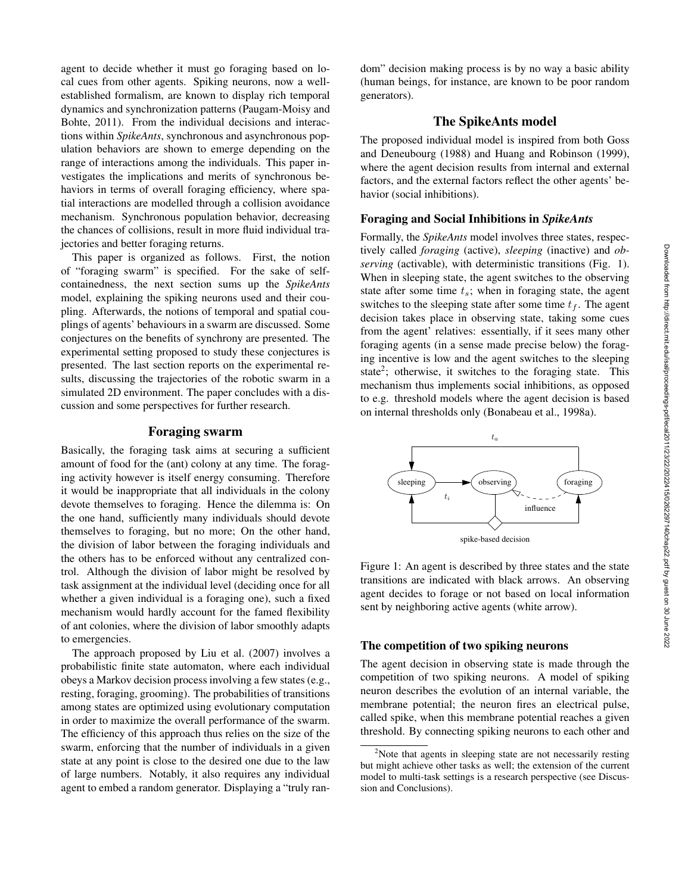agent to decide whether it must go foraging based on local cues from other agents. Spiking neurons, now a wellestablished formalism, are known to display rich temporal dynamics and synchronization patterns (Paugam-Moisy and Bohte, 2011). From the individual decisions and interactions within *SpikeAnts*, synchronous and asynchronous population behaviors are shown to emerge depending on the range of interactions among the individuals. This paper investigates the implications and merits of synchronous behaviors in terms of overall foraging efficiency, where spatial interactions are modelled through a collision avoidance mechanism. Synchronous population behavior, decreasing the chances of collisions, result in more fluid individual trajectories and better foraging returns.

This paper is organized as follows. First, the notion of "foraging swarm" is specified. For the sake of selfcontainedness, the next section sums up the *SpikeAnts* model, explaining the spiking neurons used and their coupling. Afterwards, the notions of temporal and spatial couplings of agents' behaviours in a swarm are discussed. Some conjectures on the benefits of synchrony are presented. The experimental setting proposed to study these conjectures is presented. The last section reports on the experimental results, discussing the trajectories of the robotic swarm in a simulated 2D environment. The paper concludes with a discussion and some perspectives for further research.

#### Foraging swarm

Basically, the foraging task aims at securing a sufficient amount of food for the (ant) colony at any time. The foraging activity however is itself energy consuming. Therefore it would be inappropriate that all individuals in the colony devote themselves to foraging. Hence the dilemma is: On the one hand, sufficiently many individuals should devote themselves to foraging, but no more; On the other hand, the division of labor between the foraging individuals and the others has to be enforced without any centralized control. Although the division of labor might be resolved by task assignment at the individual level (deciding once for all whether a given individual is a foraging one), such a fixed mechanism would hardly account for the famed flexibility of ant colonies, where the division of labor smoothly adapts to emergencies.

The approach proposed by Liu et al. (2007) involves a probabilistic finite state automaton, where each individual obeys a Markov decision process involving a few states (e.g., resting, foraging, grooming). The probabilities of transitions among states are optimized using evolutionary computation in order to maximize the overall performance of the swarm. The efficiency of this approach thus relies on the size of the swarm, enforcing that the number of individuals in a given state at any point is close to the desired one due to the law of large numbers. Notably, it also requires any individual agent to embed a random generator. Displaying a "truly random" decision making process is by no way a basic ability (human beings, for instance, are known to be poor random generators).

# The SpikeAnts model

The proposed individual model is inspired from both Goss and Deneubourg (1988) and Huang and Robinson (1999), where the agent decision results from internal and external factors, and the external factors reflect the other agents' behavior (social inhibitions).

### Foraging and Social Inhibitions in *SpikeAnts*

Formally, the *SpikeAnts* model involves three states, respectively called *foraging* (active), *sleeping* (inactive) and *observing* (activable), with deterministic transitions (Fig. 1). When in sleeping state, the agent switches to the observing state after some time  $t_s$ ; when in foraging state, the agent switches to the sleeping state after some time  $t_f$ . The agent decision takes place in observing state, taking some cues from the agent' relatives: essentially, if it sees many other foraging agents (in a sense made precise below) the foraging incentive is low and the agent switches to the sleeping state<sup>2</sup>; otherwise, it switches to the foraging state. This mechanism thus implements social inhibitions, as opposed to e.g. threshold models where the agent decision is based on internal thresholds only (Bonabeau et al., 1998a).



Figure 1: An agent is described by three states and the state transitions are indicated with black arrows. An observing agent decides to forage or not based on local information sent by neighboring active agents (white arrow).

#### The competition of two spiking neurons

The agent decision in observing state is made through the competition of two spiking neurons. A model of spiking neuron describes the evolution of an internal variable, the membrane potential; the neuron fires an electrical pulse, called spike, when this membrane potential reaches a given threshold. By connecting spiking neurons to each other and

 $2$ Note that agents in sleeping state are not necessarily resting but might achieve other tasks as well; the extension of the current model to multi-task settings is a research perspective (see Discussion and Conclusions).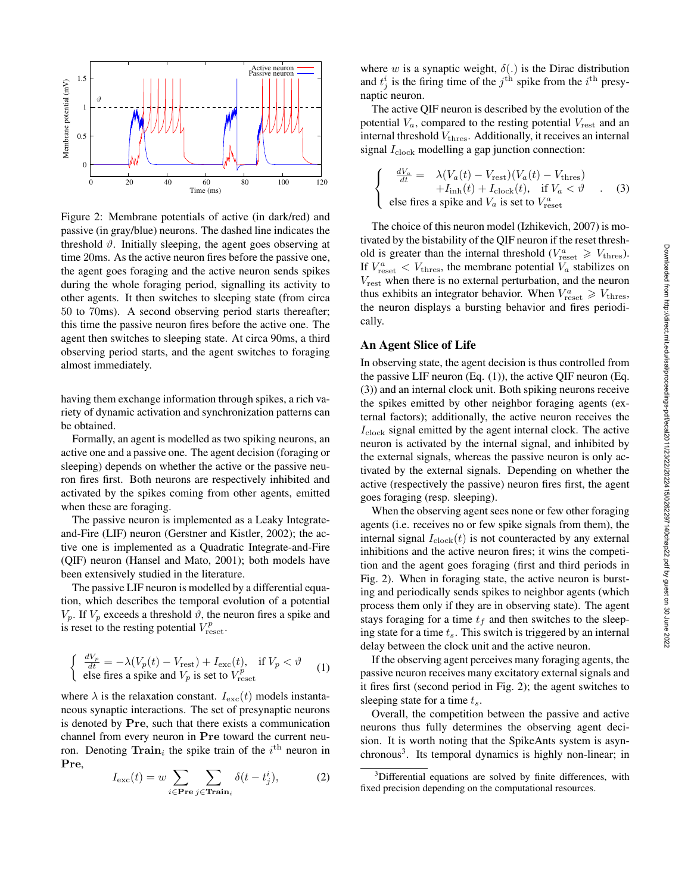

Figure 2: Membrane potentials of active (in dark/red) and passive (in gray/blue) neurons. The dashed line indicates the threshold  $\vartheta$ . Initially sleeping, the agent goes observing at time 20ms. As the active neuron fires before the passive one, the agent goes foraging and the active neuron sends spikes during the whole foraging period, signalling its activity to other agents. It then switches to sleeping state (from circa 50 to 70ms). A second observing period starts thereafter; this time the passive neuron fires before the active one. The agent then switches to sleeping state. At circa 90ms, a third observing period starts, and the agent switches to foraging almost immediately.

having them exchange information through spikes, a rich variety of dynamic activation and synchronization patterns can be obtained.

Formally, an agent is modelled as two spiking neurons, an active one and a passive one. The agent decision (foraging or sleeping) depends on whether the active or the passive neuron fires first. Both neurons are respectively inhibited and activated by the spikes coming from other agents, emitted when these are foraging.

The passive neuron is implemented as a Leaky Integrateand-Fire (LIF) neuron (Gerstner and Kistler, 2002); the active one is implemented as a Quadratic Integrate-and-Fire (QIF) neuron (Hansel and Mato, 2001); both models have been extensively studied in the literature.

The passive LIF neuron is modelled by a differential equation, which describes the temporal evolution of a potential  $V_p$ . If  $V_p$  exceeds a threshold  $\vartheta$ , the neuron fires a spike and is reset to the resting potential  $V_{\text{reset}}^p$ .

$$
\begin{cases} \frac{dV_p}{dt} = -\lambda (V_p(t) - V_{\text{rest}}) + I_{\text{exc}}(t), & \text{if } V_p < \vartheta \\ \text{else fires a spike and } V_p \text{ is set to } V_{\text{reset}}^p \end{cases} \tag{1}
$$

where  $\lambda$  is the relaxation constant.  $I_{\text{exc}}(t)$  models instantaneous synaptic interactions. The set of presynaptic neurons is denoted by Pre, such that there exists a communication channel from every neuron in Pre toward the current neuron. Denoting  $\textbf{Train}_i$  the spike train of the  $i^{\text{th}}$  neuron in Pre,

$$
I_{\text{exc}}(t) = w \sum_{i \in \text{Pre } j \in \text{Train}_i} \delta(t - t_j^i), \tag{2}
$$

where w is a synaptic weight,  $\delta(.)$  is the Dirac distribution and  $t_j^i$  is the firing time of the  $j^{\text{th}}$  spike from the  $i^{\text{th}}$  presynaptic neuron.

The active QIF neuron is described by the evolution of the potential  $V_a$ , compared to the resting potential  $V_{\text{rest}}$  and an internal threshold  $V_{\text{thres}}$ . Additionally, it receives an internal signal  $I_{\text{clock}}$  modelling a gap junction connection:

$$
\begin{cases}\n\frac{dV_a}{dt} = \lambda (V_a(t) - V_{\text{rest}})(V_a(t) - V_{\text{thres}}) \\
+ I_{\text{inh}}(t) + I_{\text{clock}}(t), \quad \text{if } V_a < \vartheta \\
\text{else fires a spike and } V_a \text{ is set to } V_{\text{reset}}^a\n\end{cases} \tag{3}
$$

The choice of this neuron model (Izhikevich, 2007) is motivated by the bistability of the QIF neuron if the reset threshold is greater than the internal threshold ( $V_{\text{reset}}^a \geq V_{\text{thres}}$ ). If  $V_{\text{reset}}^a < V_{\text{thres}}$ , the membrane potential  $V_a$  stabilizes on  $V_{\text{rest}}$  when there is no external perturbation, and the neuron thus exhibits an integrator behavior. When  $V_{\text{reset}}^a \geq V_{\text{thres}}$ , the neuron displays a bursting behavior and fires periodically.

#### An Agent Slice of Life

In observing state, the agent decision is thus controlled from the passive LIF neuron (Eq. (1)), the active QIF neuron (Eq. (3)) and an internal clock unit. Both spiking neurons receive the spikes emitted by other neighbor foraging agents (external factors); additionally, the active neuron receives the  $I_{\rm clock}$  signal emitted by the agent internal clock. The active neuron is activated by the internal signal, and inhibited by the external signals, whereas the passive neuron is only activated by the external signals. Depending on whether the active (respectively the passive) neuron fires first, the agent goes foraging (resp. sleeping).

When the observing agent sees none or few other foraging agents (i.e. receives no or few spike signals from them), the internal signal  $I_{clock}(t)$  is not counteracted by any external inhibitions and the active neuron fires; it wins the competition and the agent goes foraging (first and third periods in Fig. 2). When in foraging state, the active neuron is bursting and periodically sends spikes to neighbor agents (which process them only if they are in observing state). The agent stays foraging for a time  $t_f$  and then switches to the sleeping state for a time  $t_s$ . This switch is triggered by an internal delay between the clock unit and the active neuron.

If the observing agent perceives many foraging agents, the passive neuron receives many excitatory external signals and it fires first (second period in Fig. 2); the agent switches to sleeping state for a time  $t_s$ .

Overall, the competition between the passive and active neurons thus fully determines the observing agent decision. It is worth noting that the SpikeAnts system is asynchronous<sup>3</sup>. Its temporal dynamics is highly non-linear; in

<sup>&</sup>lt;sup>3</sup>Differential equations are solved by finite differences, with fixed precision depending on the computational resources.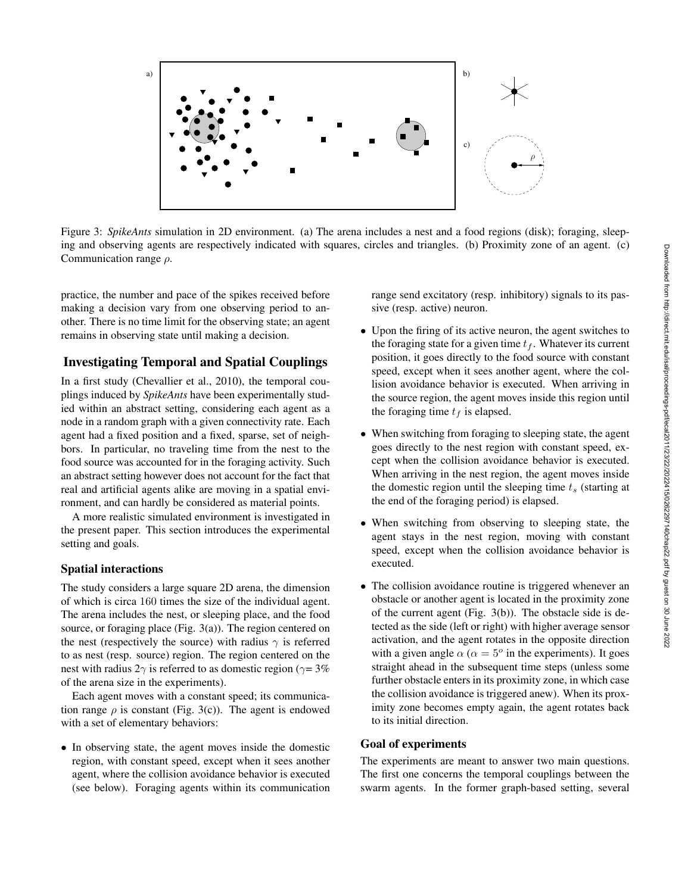

Figure 3: *SpikeAnts* simulation in 2D environment. (a) The arena includes a nest and a food regions (disk); foraging, sleeping and observing agents are respectively indicated with squares, circles and triangles. (b) Proximity zone of an agent. (c) Communication range  $\rho$ .

practice, the number and pace of the spikes received before making a decision vary from one observing period to another. There is no time limit for the observing state; an agent remains in observing state until making a decision.

# Investigating Temporal and Spatial Couplings

In a first study (Chevallier et al., 2010), the temporal couplings induced by *SpikeAnts* have been experimentally studied within an abstract setting, considering each agent as a node in a random graph with a given connectivity rate. Each agent had a fixed position and a fixed, sparse, set of neighbors. In particular, no traveling time from the nest to the food source was accounted for in the foraging activity. Such an abstract setting however does not account for the fact that real and artificial agents alike are moving in a spatial environment, and can hardly be considered as material points.

A more realistic simulated environment is investigated in the present paper. This section introduces the experimental setting and goals.

#### Spatial interactions

The study considers a large square 2D arena, the dimension of which is circa 160 times the size of the individual agent. The arena includes the nest, or sleeping place, and the food source, or foraging place (Fig. 3(a)). The region centered on the nest (respectively the source) with radius  $\gamma$  is referred to as nest (resp. source) region. The region centered on the nest with radius  $2\gamma$  is referred to as domestic region ( $\gamma = 3\%$ ) of the arena size in the experiments).

Each agent moves with a constant speed; its communication range  $\rho$  is constant (Fig. 3(c)). The agent is endowed with a set of elementary behaviors:

• In observing state, the agent moves inside the domestic region, with constant speed, except when it sees another agent, where the collision avoidance behavior is executed (see below). Foraging agents within its communication

range send excitatory (resp. inhibitory) signals to its passive (resp. active) neuron.

- Upon the firing of its active neuron, the agent switches to the foraging state for a given time  $t_f$ . Whatever its current position, it goes directly to the food source with constant speed, except when it sees another agent, where the collision avoidance behavior is executed. When arriving in the source region, the agent moves inside this region until the foraging time  $t_f$  is elapsed.
- When switching from foraging to sleeping state, the agent goes directly to the nest region with constant speed, except when the collision avoidance behavior is executed. When arriving in the nest region, the agent moves inside the domestic region until the sleeping time  $t_s$  (starting at the end of the foraging period) is elapsed.
- When switching from observing to sleeping state, the agent stays in the nest region, moving with constant speed, except when the collision avoidance behavior is executed.
- The collision avoidance routine is triggered whenever an obstacle or another agent is located in the proximity zone of the current agent (Fig. 3(b)). The obstacle side is detected as the side (left or right) with higher average sensor activation, and the agent rotates in the opposite direction with a given angle  $\alpha$  ( $\alpha = 5^{\circ}$  in the experiments). It goes straight ahead in the subsequent time steps (unless some further obstacle enters in its proximity zone, in which case the collision avoidance is triggered anew). When its proximity zone becomes empty again, the agent rotates back to its initial direction.

#### Goal of experiments

The experiments are meant to answer two main questions. The first one concerns the temporal couplings between the swarm agents. In the former graph-based setting, several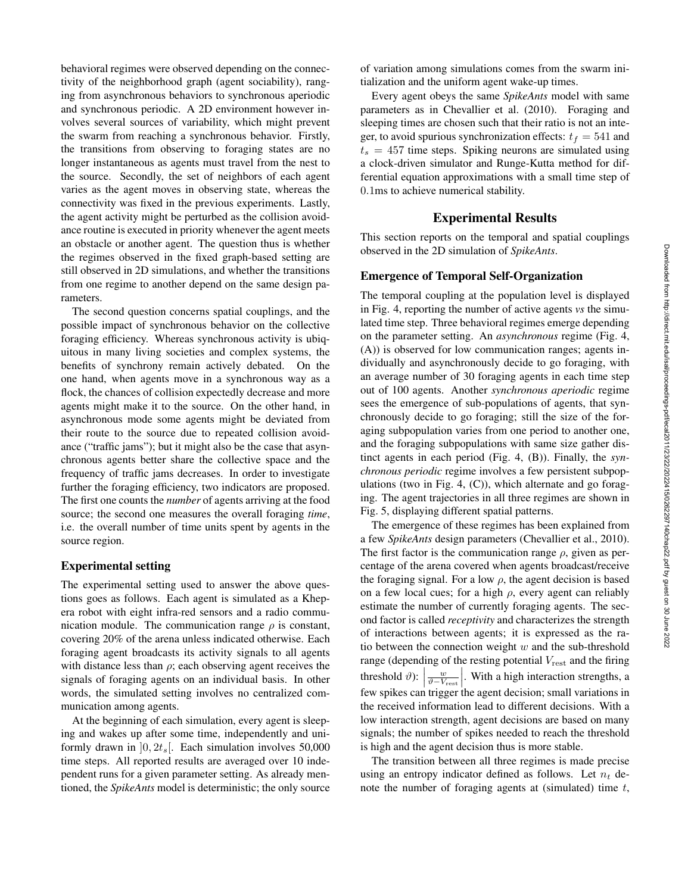behavioral regimes were observed depending on the connectivity of the neighborhood graph (agent sociability), ranging from asynchronous behaviors to synchronous aperiodic and synchronous periodic. A 2D environment however involves several sources of variability, which might prevent the swarm from reaching a synchronous behavior. Firstly, the transitions from observing to foraging states are no longer instantaneous as agents must travel from the nest to the source. Secondly, the set of neighbors of each agent varies as the agent moves in observing state, whereas the connectivity was fixed in the previous experiments. Lastly, the agent activity might be perturbed as the collision avoidance routine is executed in priority whenever the agent meets an obstacle or another agent. The question thus is whether the regimes observed in the fixed graph-based setting are still observed in 2D simulations, and whether the transitions from one regime to another depend on the same design parameters.

The second question concerns spatial couplings, and the possible impact of synchronous behavior on the collective foraging efficiency. Whereas synchronous activity is ubiquitous in many living societies and complex systems, the benefits of synchrony remain actively debated. On the one hand, when agents move in a synchronous way as a flock, the chances of collision expectedly decrease and more agents might make it to the source. On the other hand, in asynchronous mode some agents might be deviated from their route to the source due to repeated collision avoidance ("traffic jams"); but it might also be the case that asynchronous agents better share the collective space and the frequency of traffic jams decreases. In order to investigate further the foraging efficiency, two indicators are proposed. The first one counts the *number* of agents arriving at the food source; the second one measures the overall foraging *time*, i.e. the overall number of time units spent by agents in the source region.

# Experimental setting

The experimental setting used to answer the above questions goes as follows. Each agent is simulated as a Khepera robot with eight infra-red sensors and a radio communication module. The communication range  $\rho$  is constant, covering 20% of the arena unless indicated otherwise. Each foraging agent broadcasts its activity signals to all agents with distance less than  $\rho$ ; each observing agent receives the signals of foraging agents on an individual basis. In other words, the simulated setting involves no centralized communication among agents.

At the beginning of each simulation, every agent is sleeping and wakes up after some time, independently and uniformly drawn in  $[0, 2t_s]$ . Each simulation involves 50,000 time steps. All reported results are averaged over 10 independent runs for a given parameter setting. As already mentioned, the *SpikeAnts* model is deterministic; the only source

of variation among simulations comes from the swarm initialization and the uniform agent wake-up times.

Every agent obeys the same *SpikeAnts* model with same parameters as in Chevallier et al. (2010). Foraging and sleeping times are chosen such that their ratio is not an integer, to avoid spurious synchronization effects:  $t_f = 541$  and  $t_s = 457$  time steps. Spiking neurons are simulated using a clock-driven simulator and Runge-Kutta method for differential equation approximations with a small time step of 0.1ms to achieve numerical stability.

#### Experimental Results

This section reports on the temporal and spatial couplings observed in the 2D simulation of *SpikeAnts*.

#### Emergence of Temporal Self-Organization

The temporal coupling at the population level is displayed in Fig. 4, reporting the number of active agents *vs* the simulated time step. Three behavioral regimes emerge depending on the parameter setting. An *asynchronous* regime (Fig. 4, (A)) is observed for low communication ranges; agents individually and asynchronously decide to go foraging, with an average number of 30 foraging agents in each time step out of 100 agents. Another *synchronous aperiodic* regime sees the emergence of sub-populations of agents, that synchronously decide to go foraging; still the size of the foraging subpopulation varies from one period to another one, and the foraging subpopulations with same size gather distinct agents in each period (Fig. 4, (B)). Finally, the *synchronous periodic* regime involves a few persistent subpopulations (two in Fig. 4, (C)), which alternate and go foraging. The agent trajectories in all three regimes are shown in Fig. 5, displaying different spatial patterns.

The emergence of these regimes has been explained from a few *SpikeAnts* design parameters (Chevallier et al., 2010). The first factor is the communication range  $\rho$ , given as percentage of the arena covered when agents broadcast/receive the foraging signal. For a low  $\rho$ , the agent decision is based on a few local cues; for a high  $\rho$ , every agent can reliably estimate the number of currently foraging agents. The second factor is called *receptivity* and characterizes the strength of interactions between agents; it is expressed as the ratio between the connection weight  $w$  and the sub-threshold range (depending of the resting potential  $V_{\text{rest}}$  and the firing threshold  $\vartheta$ :  $\frac{w}{\vartheta - V_{\text{rest}}}$ . With a high interaction strengths, a few spikes can trigger the agent decision; small variations in the received information lead to different decisions. With a low interaction strength, agent decisions are based on many signals; the number of spikes needed to reach the threshold is high and the agent decision thus is more stable.

The transition between all three regimes is made precise using an entropy indicator defined as follows. Let  $n_t$  denote the number of foraging agents at (simulated) time  $t$ ,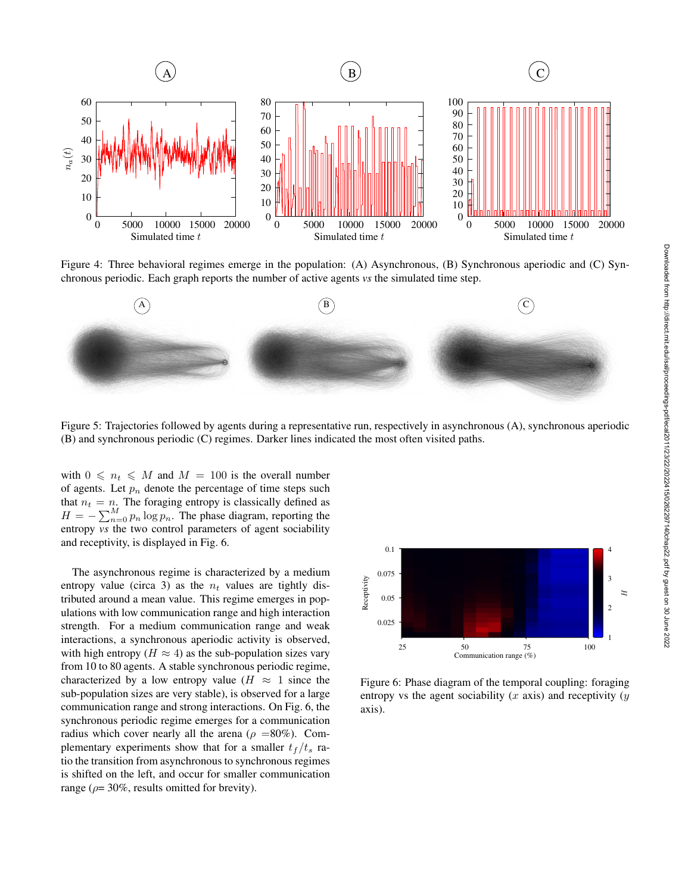

Figure 4: Three behavioral regimes emerge in the population: (A) Asynchronous, (B) Synchronous aperiodic and (C) Synchronous periodic. Each graph reports the number of active agents *vs* the simulated time step.



Figure 5: Trajectories followed by agents during a representative run, respectively in asynchronous (A), synchronous aperiodic (B) and synchronous periodic (C) regimes. Darker lines indicated the most often visited paths.

with  $0 \leq n_t \leq M$  and  $M = 100$  is the overall number of agents. Let  $p_n$  denote the percentage of time steps such that  $n_t = n$ . The foraging entropy is classically defined as  $H = -\sum_{n=0}^{M} p_n \log p_n$ . The phase diagram, reporting the entropy *vs* the two control parameters of agent sociability and receptivity, is displayed in Fig. 6.

The asynchronous regime is characterized by a medium entropy value (circa 3) as the  $n_t$  values are tightly distributed around a mean value. This regime emerges in populations with low communication range and high interaction strength. For a medium communication range and weak interactions, a synchronous aperiodic activity is observed, with high entropy ( $H \approx 4$ ) as the sub-population sizes vary from 10 to 80 agents. A stable synchronous periodic regime, characterized by a low entropy value ( $H \approx 1$  since the sub-population sizes are very stable), is observed for a large communication range and strong interactions. On Fig. 6, the synchronous periodic regime emerges for a communication radius which cover nearly all the arena ( $\rho = 80\%$ ). Complementary experiments show that for a smaller  $t_f / t_s$  ratio the transition from asynchronous to synchronous regimes is shifted on the left, and occur for smaller communication range ( $\rho$ = 30%, results omitted for brevity).



Figure 6: Phase diagram of the temporal coupling: foraging entropy vs the agent sociability  $(x \text{ axis})$  and receptivity  $(y \text{ axis})$ axis).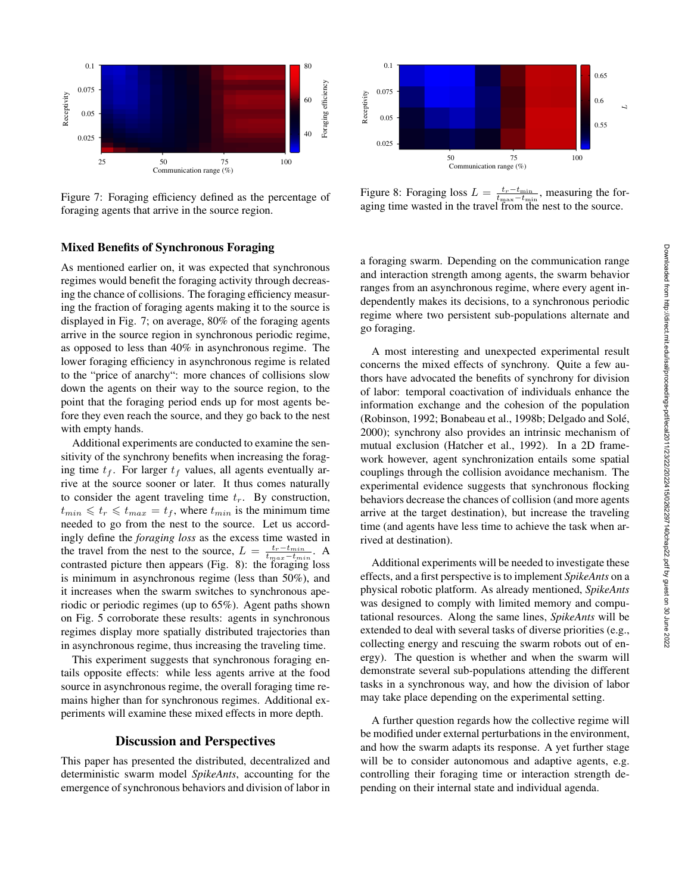

Figure 7: Foraging efficiency defined as the percentage of foraging agents that arrive in the source region.

# Mixed Benefits of Synchronous Foraging

As mentioned earlier on, it was expected that synchronous regimes would benefit the foraging activity through decreasing the chance of collisions. The foraging efficiency measuring the fraction of foraging agents making it to the source is displayed in Fig. 7; on average, 80% of the foraging agents arrive in the source region in synchronous periodic regime, as opposed to less than 40% in asynchronous regime. The lower foraging efficiency in asynchronous regime is related to the "price of anarchy": more chances of collisions slow down the agents on their way to the source region, to the point that the foraging period ends up for most agents before they even reach the source, and they go back to the nest with empty hands.

Additional experiments are conducted to examine the sensitivity of the synchrony benefits when increasing the foraging time  $t_f$ . For larger  $t_f$  values, all agents eventually arrive at the source sooner or later. It thus comes naturally to consider the agent traveling time  $t_r$ . By construction,  $t_{min} \leq t_r \leq t_{max} = t_f$ , where  $t_{min}$  is the minimum time needed to go from the nest to the source. Let us accordingly define the *foraging loss* as the excess time wasted in the travel from the nest to the source,  $L = \frac{t_r - t_{min}}{t_{max} - t_{min}}$ . A contrasted picture then appears (Fig. 8): the foraging loss is minimum in asynchronous regime (less than 50%), and it increases when the swarm switches to synchronous aperiodic or periodic regimes (up to 65%). Agent paths shown on Fig. 5 corroborate these results: agents in synchronous regimes display more spatially distributed trajectories than in asynchronous regime, thus increasing the traveling time.

This experiment suggests that synchronous foraging entails opposite effects: while less agents arrive at the food source in asynchronous regime, the overall foraging time remains higher than for synchronous regimes. Additional experiments will examine these mixed effects in more depth.

#### Discussion and Perspectives

This paper has presented the distributed, decentralized and deterministic swarm model *SpikeAnts*, accounting for the emergence of synchronous behaviors and division of labor in



Figure 8: Foraging loss  $L = \frac{t_r - t_{\min}}{t_{\max} - t_{\min}}$ , measuring the foraging time wasted in the travel from the nest to the source.

a foraging swarm. Depending on the communication range and interaction strength among agents, the swarm behavior ranges from an asynchronous regime, where every agent independently makes its decisions, to a synchronous periodic regime where two persistent sub-populations alternate and go foraging.

A most interesting and unexpected experimental result concerns the mixed effects of synchrony. Quite a few authors have advocated the benefits of synchrony for division of labor: temporal coactivation of individuals enhance the information exchange and the cohesion of the population (Robinson, 1992; Bonabeau et al., 1998b; Delgado and Sole,´ 2000); synchrony also provides an intrinsic mechanism of mutual exclusion (Hatcher et al., 1992). In a 2D framework however, agent synchronization entails some spatial couplings through the collision avoidance mechanism. The experimental evidence suggests that synchronous flocking behaviors decrease the chances of collision (and more agents arrive at the target destination), but increase the traveling time (and agents have less time to achieve the task when arrived at destination).

Additional experiments will be needed to investigate these effects, and a first perspective is to implement *SpikeAnts* on a physical robotic platform. As already mentioned, *SpikeAnts* was designed to comply with limited memory and computational resources. Along the same lines, *SpikeAnts* will be extended to deal with several tasks of diverse priorities (e.g., collecting energy and rescuing the swarm robots out of energy). The question is whether and when the swarm will demonstrate several sub-populations attending the different tasks in a synchronous way, and how the division of labor may take place depending on the experimental setting.

A further question regards how the collective regime will be modified under external perturbations in the environment, and how the swarm adapts its response. A yet further stage will be to consider autonomous and adaptive agents, e.g. controlling their foraging time or interaction strength depending on their internal state and individual agenda.